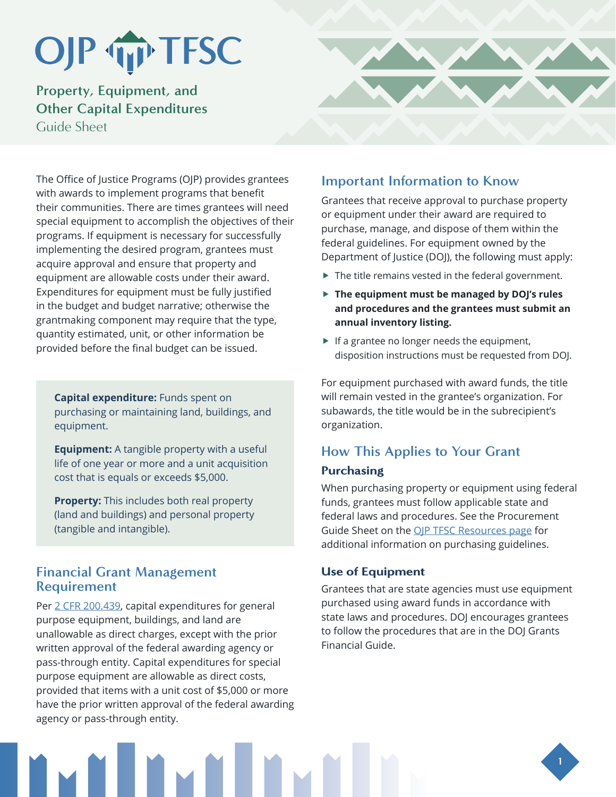# OJP TIP TFSC

# **Property, Equipment, and Other Capital Expenditures** Guide Sheet

The Office of Justice Programs (OJP) provides grantees with awards to implement programs that benefit their communities. There are times grantees will need special equipment to accomplish the objectives of their programs. If equipment is necessary for successfully implementing the desired program, grantees must acquire approval and ensure that property and equipment are allowable costs under their award. Expenditures for equipment must be fully justified in the budget and budget narrative; otherwise the grantmaking component may require that the type, quantity estimated, unit, or other information be provided before the final budget can be issued.

**Capital expenditure:** Funds spent on purchasing or maintaining land, buildings, and equipment.

**Equipment:** A tangible property with a useful life of one year or more and a unit acquisition cost that is equals or exceeds \$5,000.

**Property:** This includes both real property (land and buildings) and personal property (tangible and intangible).

## **Financial Grant Management Requirement**

Per [2 CFR 200.439,](https://www.ecfr.gov/cgi-bin/retrieveECFR?gp=&SID=3414c32f113462a46cae3ad709ef2a3c&mc=true&n=sp2.1.200.e&r=SUBPART&ty=HTML#se2.1.200_1439) capital expenditures for general purpose equipment, buildings, and land are unallowable as direct charges, except with the prior written approval of the federal awarding agency or pass-through entity. Capital expenditures for special purpose equipment are allowable as direct costs, provided that items with a unit cost of \$5,000 or more have the prior written approval of the federal awarding agency or pass-through entity.



Grantees that receive approval to purchase property or equipment under their award are required to purchase, manage, and dispose of them within the federal guidelines. For equipment owned by the Department of Justice (DOJ), the following must apply:

- $\blacktriangleright$  The title remains vested in the federal government.
- **Fig. 2** The equipment must be managed by DOJ's rules **and procedures and the grantees must submit an annual inventory listing.**
- $\blacktriangleright$  If a grantee no longer needs the equipment, disposition instructions must be requested from DOJ.

For equipment purchased with award funds, the title will remain vested in the grantee's organization. For subawards, the title would be in the subrecipient's organization.

# **How This Applies to Your Grant**

### **Purchasing**

When purchasing property or equipment using federal funds, grantees must follow applicable state and federal laws and procedures. See the Procurement Guide Sheet on the OIP TFSC Resources page for additional information on purchasing guidelines.

### Use of Equipment

Grantees that are state agencies must use equipment purchased using award funds in accordance with state laws and procedures. DOJ encourages grantees to follow the procedures that are in the DOJ Grants Financial Guide.



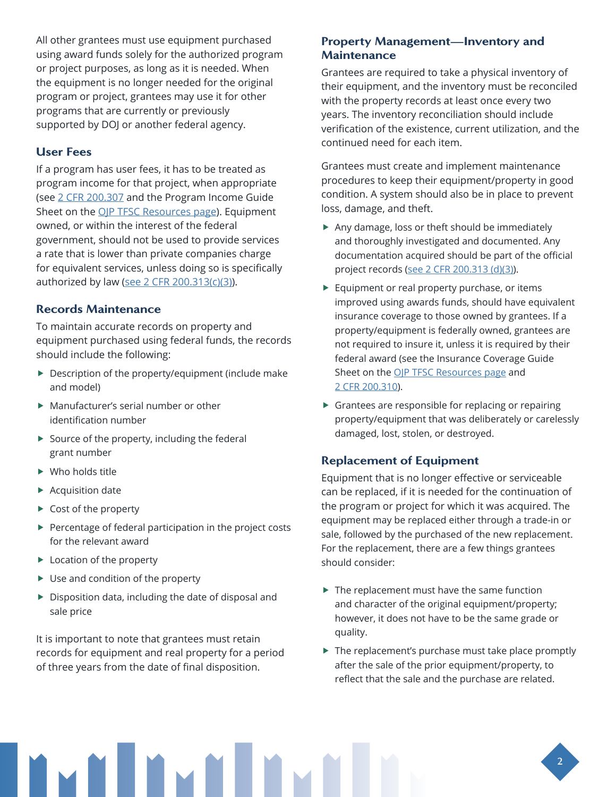All other grantees must use equipment purchased using award funds solely for the authorized program or project purposes, as long as it is needed. When the equipment is no longer needed for the original program or project, grantees may use it for other programs that are currently or previously supported by DOJ or another federal agency.

#### User Fees

If a program has user fees, it has to be treated as program income for that project, when appropriate (see [2 CFR 200.307](http://www.ecfr.gov/cgi-bin/retrieveECFR?gp=&SID=870db2718d81511f58f280c0fdc0957d&n=pt2.1.200&r=PART&ty=HTML#se2.1.200_1307) and the Program Income Guide Sheet on the [OJP TFSC Resources page](https://www.ojp.gov/training-and-technical-assistance/tfsc/resources)). Equipment owned, or within the interest of the federal government, should not be used to provide services a rate that is lower than private companies charge for equivalent services, unless doing so is specifically authorized by law (see [2 CFR 200.313\(c\)\(3\)\)](https://www.ecfr.gov/cgi-bin/retrieveECFR?gp=&SID=870db2718d81511f58f280c0fdc0957d&n=pt2.1.200&r=PART&ty=HTML#se2.1.200_1313).

#### Records Maintenance

To maintain accurate records on property and equipment purchased using federal funds, the records should include the following:

- $\blacktriangleright$  Description of the property/equipment (include make and model)
- $\blacktriangleright$  Manufacturer's serial number or other identification number
- $\blacktriangleright$  Source of the property, including the federal grant number
- $\blacktriangleright$  Who holds title
- $\blacktriangleright$  Acquisition date
- $\triangleright$  Cost of the property
- $\blacktriangleright$  Percentage of federal participation in the project costs for the relevant award
- $\blacktriangleright$  Location of the property
- $\blacktriangleright$  Use and condition of the property
- $\blacktriangleright$  Disposition data, including the date of disposal and sale price

It is important to note that grantees must retain records for equipment and real property for a period of three years from the date of final disposition.

#### Property Management—Inventory and **Maintenance**

Grantees are required to take a physical inventory of their equipment, and the inventory must be reconciled with the property records at least once every two years. The inventory reconciliation should include verification of the existence, current utilization, and the continued need for each item.

Grantees must create and implement maintenance procedures to keep their equipment/property in good condition. A system should also be in place to prevent loss, damage, and theft.

- $\blacktriangleright$  Any damage, loss or theft should be immediately and thoroughly investigated and documented. Any documentation acquired should be part of the official project records [\(see 2 CFR 200.313 \(d\)\(3\)](http://www.ecfr.gov/cgi-bin/retrieveECFR?gp=&SID=870db2718d81511f58f280c0fdc0957d&n=pt2.1.200&r=PART&ty=HTML#se2.1.200_1313)).
- $\blacktriangleright$  Equipment or real property purchase, or items improved using awards funds, should have equivalent insurance coverage to those owned by grantees. If a property/equipment is federally owned, grantees are not required to insure it, unless it is required by their federal award (see the Insurance Coverage Guide Sheet on the [OJP TFSC Resources page](https://www.ojp.gov/training-and-technical-assistance/tfsc/resources) and [2 CFR 200.310](https://www.ecfr.gov/cgi-bin/retrieveECFR?gp=&SID=870db2718d81511f58f280c0fdc0957d&n=pt2.1.200&r=PART&ty=HTML#se2.1.200_1310)).
- $\triangleright$  Grantees are responsible for replacing or repairing property/equipment that was deliberately or carelessly damaged, lost, stolen, or destroyed.

#### Replacement of Equipment

Equipment that is no longer effective or serviceable can be replaced, if it is needed for the continuation of the program or project for which it was acquired. The equipment may be replaced either through a trade-in or sale, followed by the purchased of the new replacement. For the replacement, there are a few things grantees should consider:

- $\blacktriangleright$  The replacement must have the same function and character of the original equipment/property; however, it does not have to be the same grade or quality.
- $\blacktriangleright$  The replacement's purchase must take place promptly after the sale of the prior equipment/property, to reflect that the sale and the purchase are related.